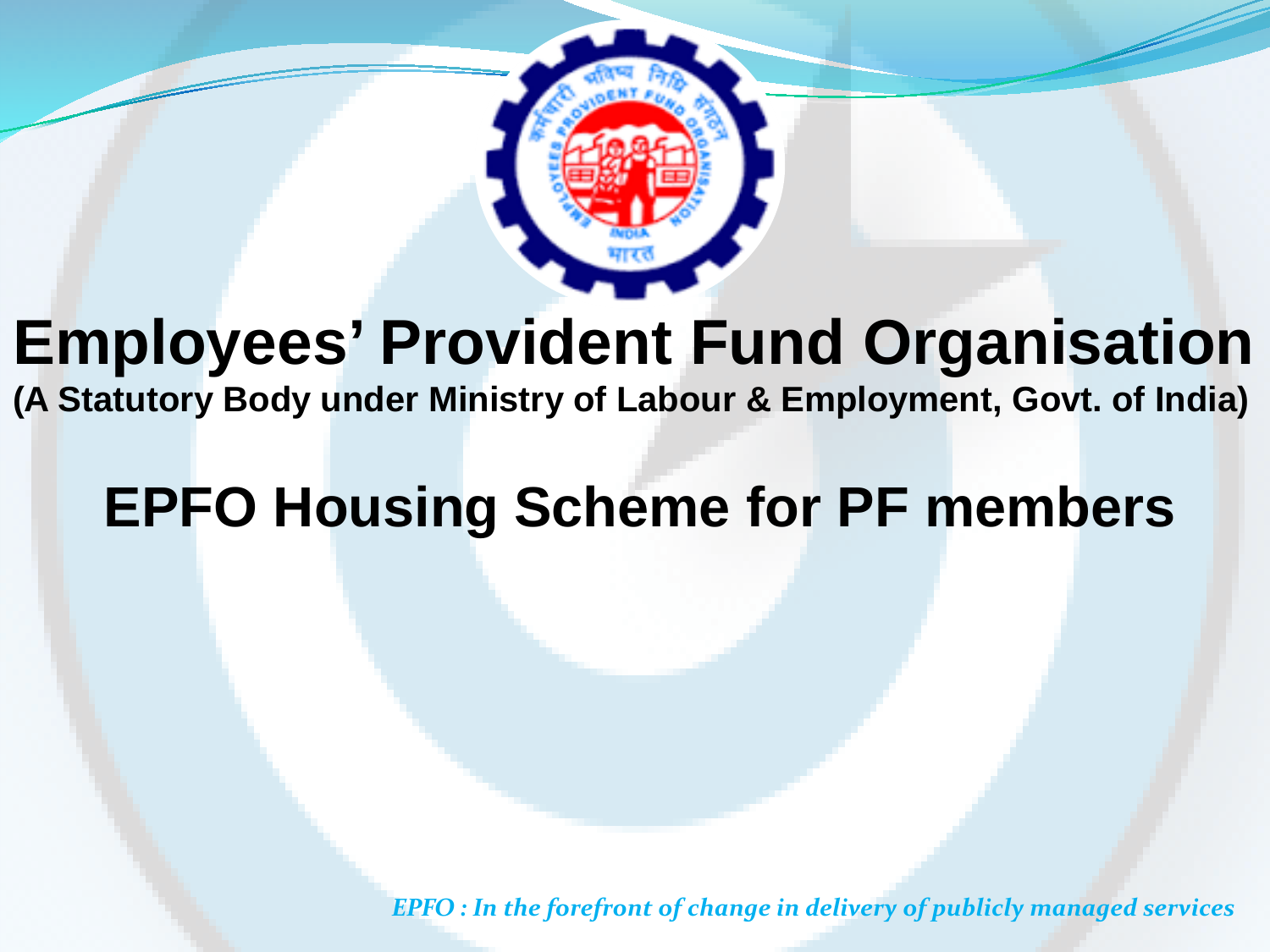

## **Employees' Provident Fund Organisation**

**(A Statutory Body under Ministry of Labour & Employment, Govt. of India)**

#### **EPFO Housing Scheme for PF members**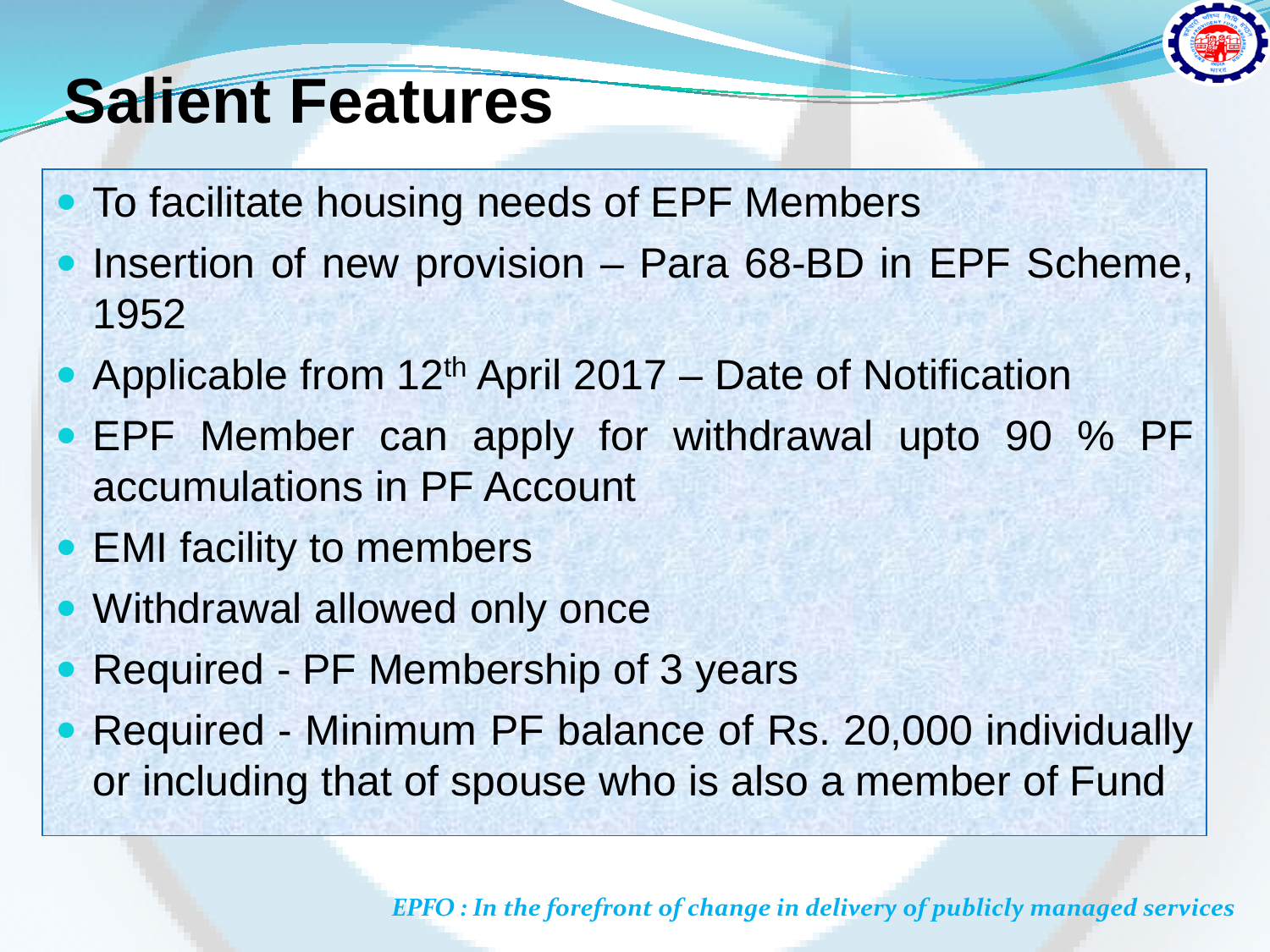

## **Salient Features**

- To facilitate housing needs of EPF Members
- Insertion of new provision Para 68-BD in EPF Scheme, 1952
- Applicable from 12<sup>th</sup> April 2017 Date of Notification
- EPF Member can apply for withdrawal upto 90 % PF accumulations in PF Account
- EMI facility to members
- Withdrawal allowed only once
	- Required PF Membership of 3 years
- Required Minimum PF balance of Rs. 20,000 individually or including that of spouse who is also a member of Fund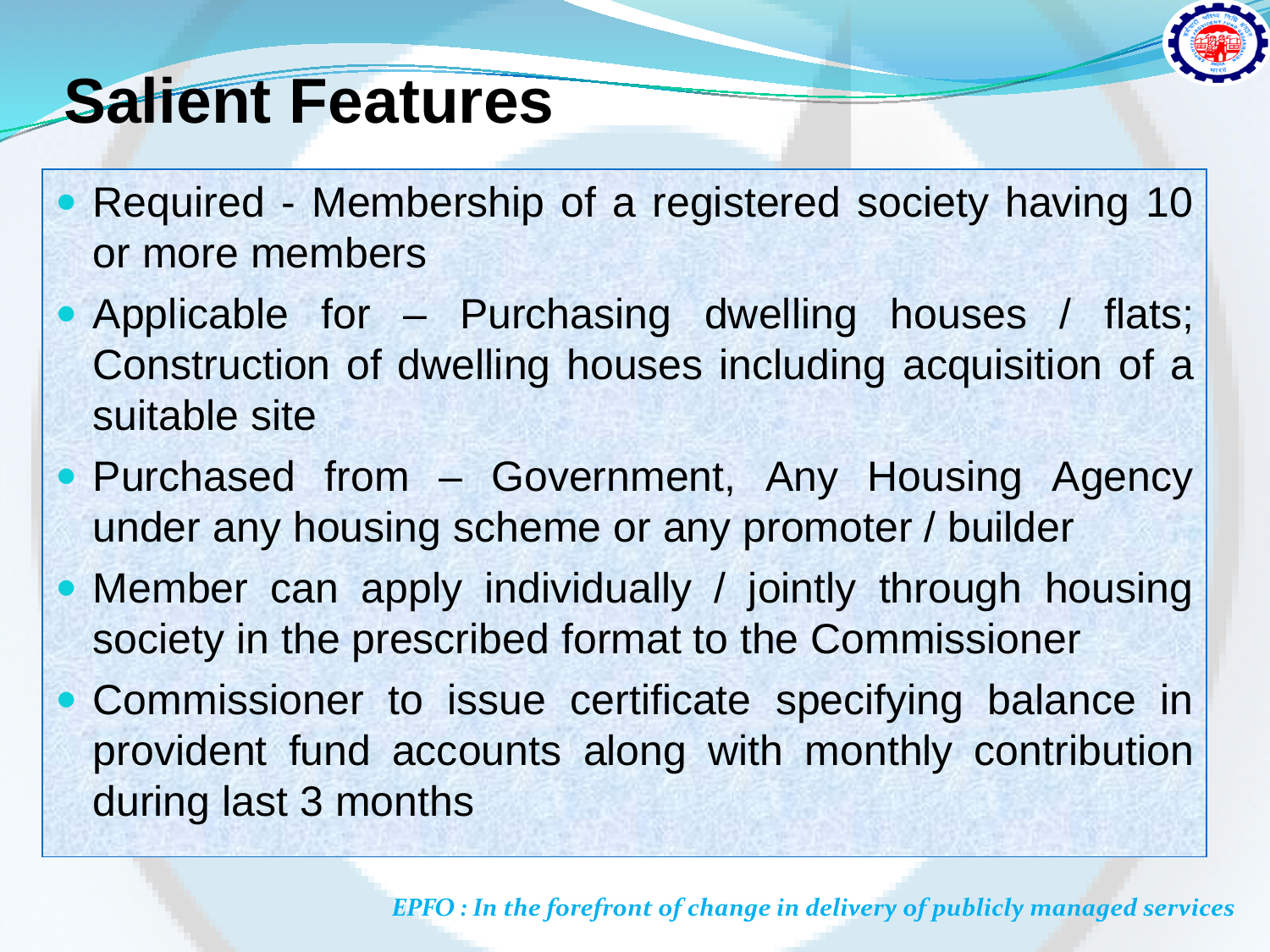

#### **Salient Features**

- Required Membership of a registered society having 10 or more members
- Applicable for Purchasing dwelling houses / flats; Construction of dwelling houses including acquisition of a suitable site
- Purchased from Government, Any Housing Agency under any housing scheme or any promoter / builder
- Member can apply individually / jointly through housing society in the prescribed format to the Commissioner
- Commissioner to issue certificate specifying balance in provident fund accounts along with monthly contribution during last 3 months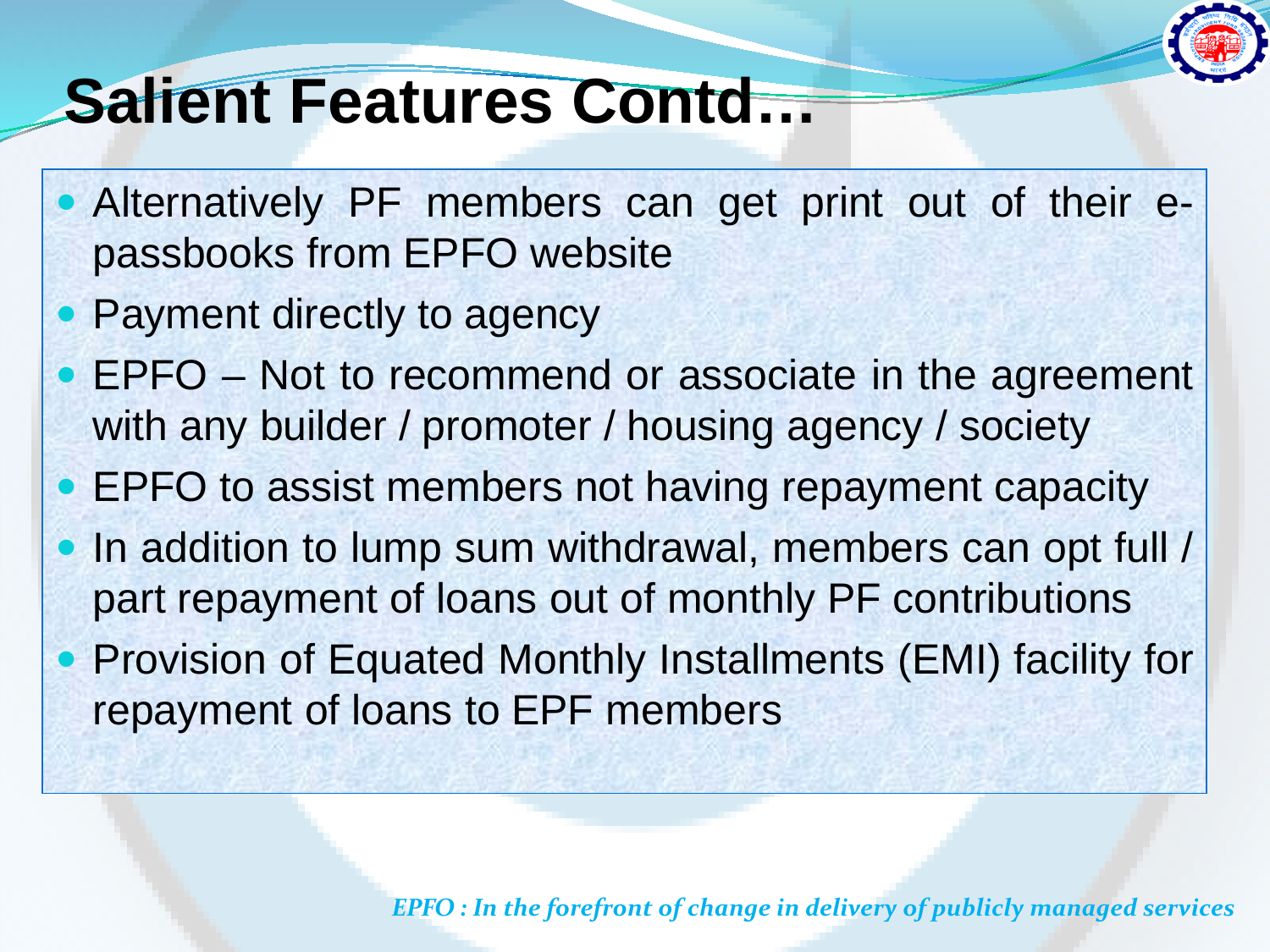

### **Salient Features Contd…**

- Alternatively PF members can get print out of their epassbooks from EPFO website
- Payment directly to agency
- EPFO Not to recommend or associate in the agreement with any builder / promoter / housing agency / society
- EPFO to assist members not having repayment capacity
- In addition to lump sum withdrawal, members can opt full / part repayment of loans out of monthly PF contributions **• Provision of Equated Monthly Installments (EMI) facility for** repayment of loans to EPF members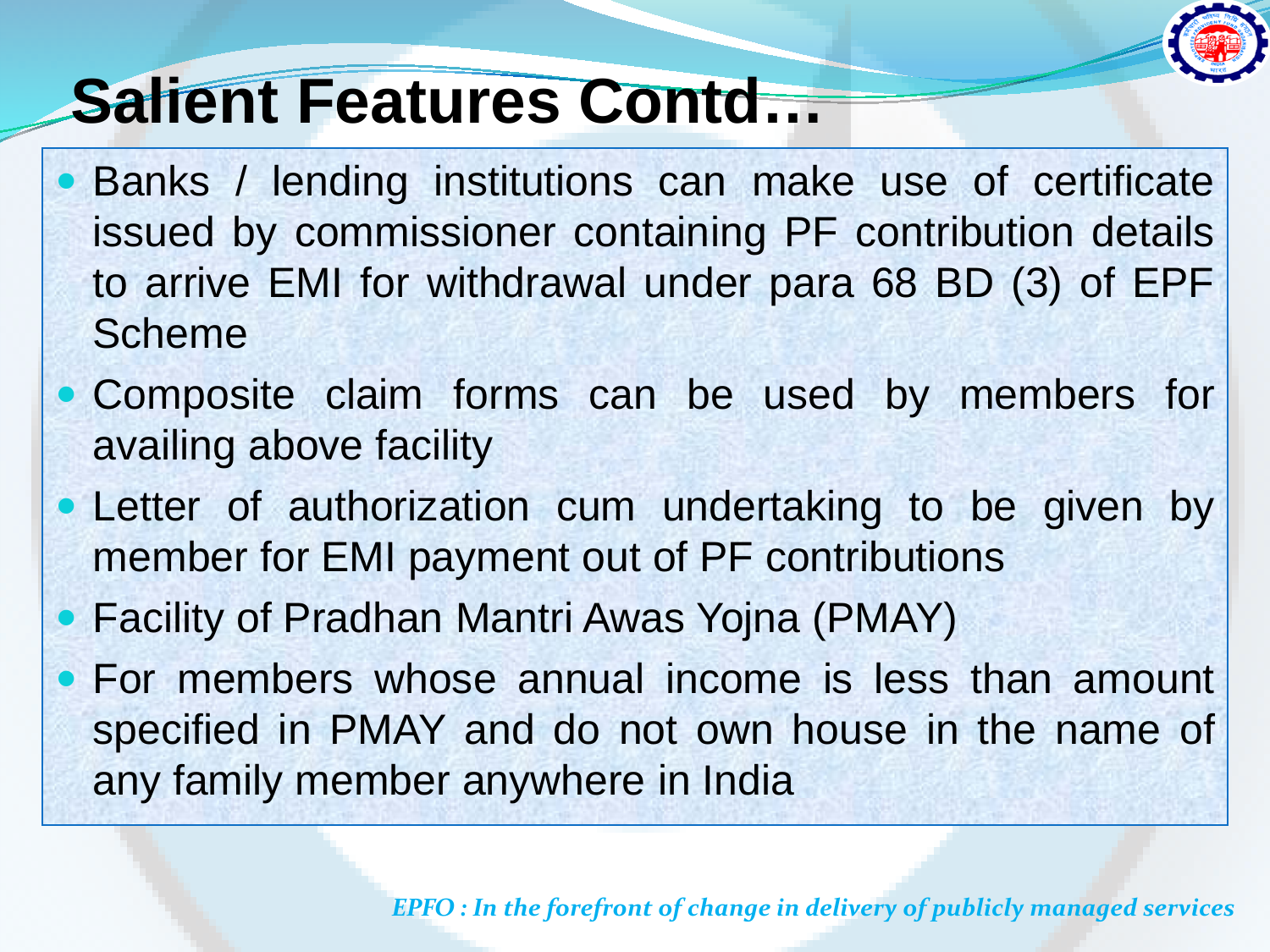

# **Salient Features Contd…**

- Banks / lending institutions can make use of certificate issued by commissioner containing PF contribution details to arrive EMI for withdrawal under para 68 BD (3) of EPF Scheme
- Composite claim forms can be used by members for availing above facility
- Letter of authorization cum undertaking to be given by member for EMI payment out of PF contributions
- Facility of Pradhan Mantri Awas Yojna (PMAY)
- For members whose annual income is less than amount specified in PMAY and do not own house in the name of any family member anywhere in India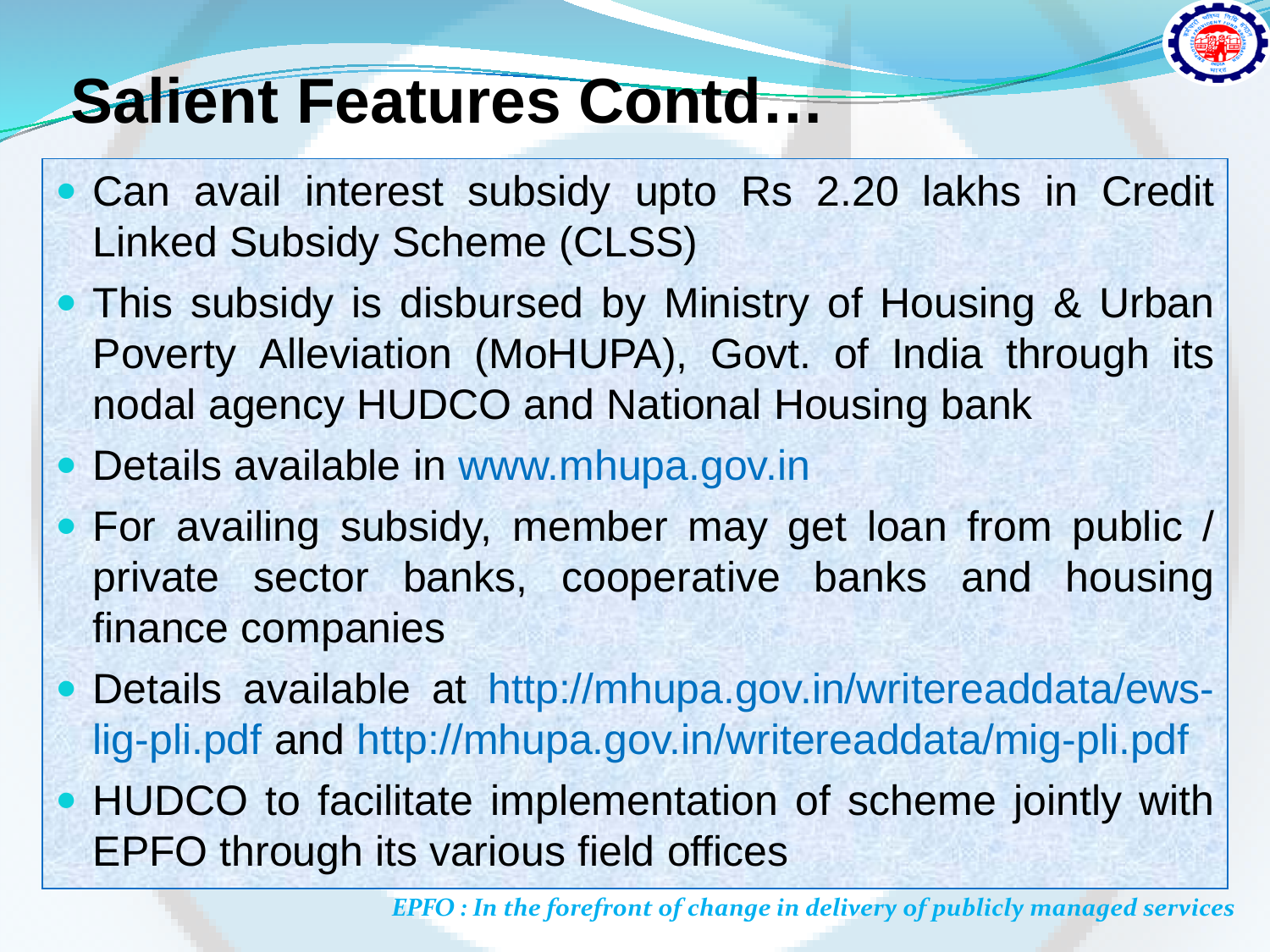

## **Salient Features Contd…**

- Can avail interest subsidy upto Rs 2.20 lakhs in Credit Linked Subsidy Scheme (CLSS)
- This subsidy is disbursed by Ministry of Housing & Urban Poverty Alleviation (MoHUPA), Govt. of India through its nodal agency HUDCO and National Housing bank
- Details available in www.mhupa.gov.in
- For availing subsidy, member may get loan from public / private sector banks, cooperative banks and housing finance companies
- Details available at http://mhupa.gov.in/writereaddata/ewslig-pli.pdf and http://mhupa.gov.in/writereaddata/mig-pli.pdf
- HUDCO to facilitate implementation of scheme jointly with EPFO through its various field offices